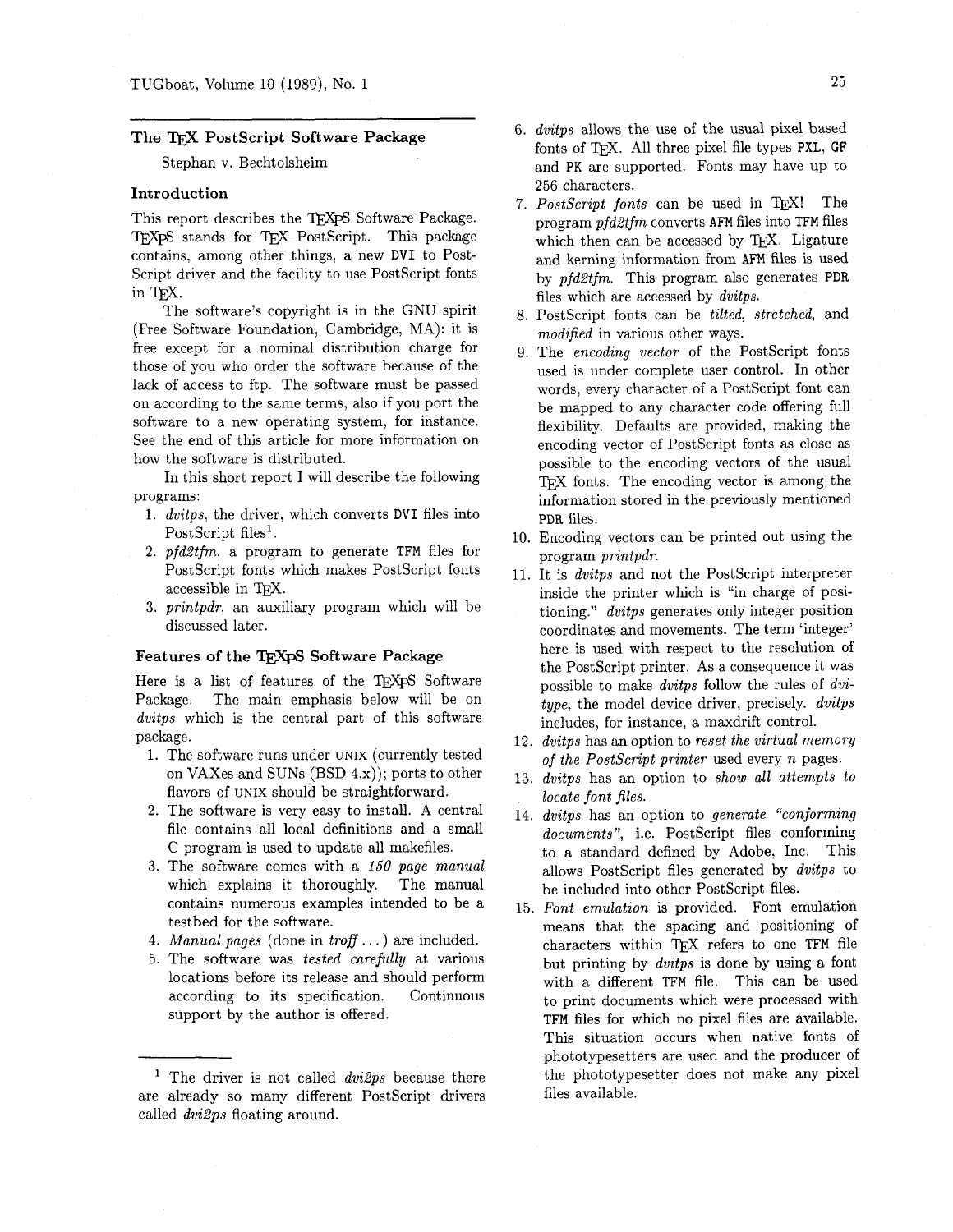# **The** TEX **PostScript Software Package**

## Stephan v. Bechtolsheim

#### **Introduction**

This report describes the TFXPS Software Package. TFXpS stands for TFX-PostScript. This package contains, among other things, a new DVI to Post-Script driver and the facility to use PostScript fonts in TEX.

The software's copyright is in the GNU spirit (Free Software Foundation, Cambridge, MA): it is free except for a nominal distribution charge for those of you who order the software because of the lack of access to ftp. The software must be passed on according to the same terms, also if you port the software to a new operating system, for instance. See the end of this article for more information on how the software is distributed.

In this short report I will describe the following programs:

- **1.** *dvitps,* the driver, which converts **DVI** files into PostScript files<sup>1</sup>.
- **2.** *pfdZtfm,* a program to generate TFM files for PostScript fonts which makes PostScript fonts accessible in TEX.
- **3.** *printpdr.* an auxiliary program which will be discussed later.

### Features of the TEXPS Software Package

Here is a list of features of the TFXpS Software Package. The main emphasis below will be on *dvitps* which is the central part of this software package.<br>1. The software runs under UNIX (currently tested

- on VAXes and SUNS (BSD 4.x)); ports to other flavors of UNIX should be straightforward.
- 2. The software is very easy to install. A central file contains all local definitions and a small C program is used to update all makefiles.
- The software comes with a 150 *page manual*  which explains it thoroughly. The manual contains numerous examples intended to be a testbed for the software.
- *Manual pages* (done in *troff* . . . ) are included.
- The software was *tested carefully* at various locations before its release and should perform according to its specification. Continuous support by the author is offered.
- *dvitps* allows the use of the usual pixel based fonts of TFX. All three pixel file types PXL, GF and PK are supported. Fonts may have up to **256** characters.
- 7. PostScript fonts can be used in TEX! The program *pfd2tfm* converts AFM files into TFM files which then can be accessed by TEX. Ligature and kerning information from AFM files is used by *pfd2tfm.* This program also generates PDR files which are accessed by *dvitps.*
- PostScript fonts can be *tilted, stretched,* and *modified* in various other ways.
- The *encoding vector* of the PostScript fonts used is under complete user control. In other words, every character of a PostScript font can be mapped to any character code offering full flexibility. Defaults are provided, making the encoding vector of PostScript fonts as close as possible to the encoding vectors of the usual TFX fonts. The encoding vector is among the information stored in the previously mentioned **PDR** files.
- Encoding vectors can be printed out using the program *printpdr.*
- It is *dvitps* and not the PostScript interpreter inside the printer which is "in charge of positioning." *dvitps* generates only integer position coordinates and movements. The term 'integer' here is used with respect to the resolution of the PostScript printer. As a consequence it was possible to make *dvitps* follow the rules of *dvitype,* the model device driver, precisely. *dvitps*  includes, for instance, a maxdrift control.
- **12.** *dvitps* has an option to *reset the virtual memory of the Postscript printer* used every *n* pages.
- *13. dvitps* has an option to *show all attempts to locate font files.*
- **14.** *dvitps* has an option to *generate "conforming documents",* i.e. PostScript files conforming to a standard defined by Adobe, Inc. This allows PostScript files generated by *dvitps* to be included into other PostScript files.
- **15.** *Font emulation* is provided. Font emulation means that the spacing and positioning of characters within TFX refers to one TFM file but printing by *dvitps* is done by using a font with a different TFM file. This can be used to print documents which were processed with TFM files for which no pixel files are available. This situation occurs when native fonts of phototypesetters are used and the producer of the phototypesetter does not make any pixel files available.

The driver is not called *dvi2ps* because there are already so many different PostScript drivers called *dvi2ps* floating around.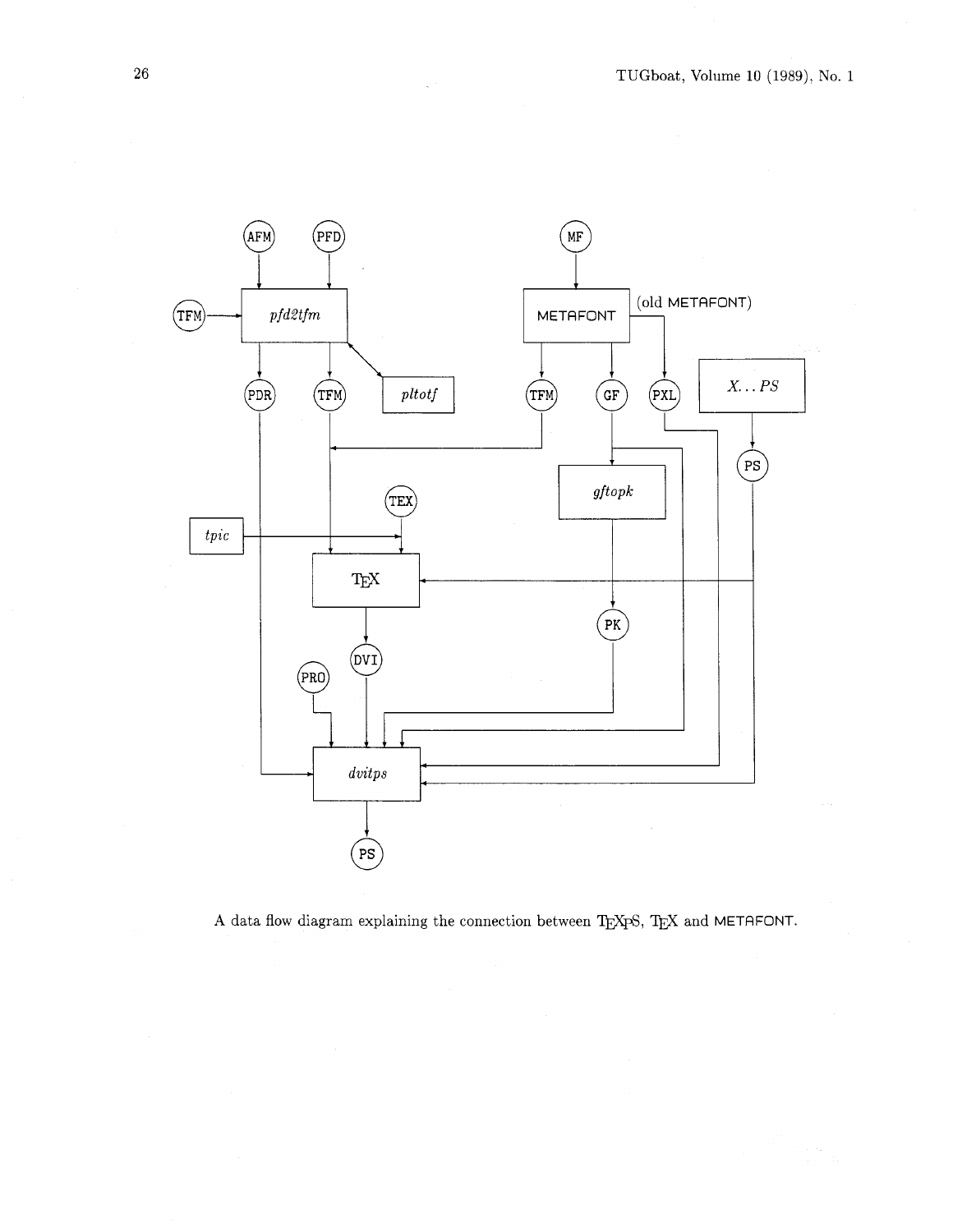

A data flow diagram explaining the connection between TgXpS, TgX and METAFONT.